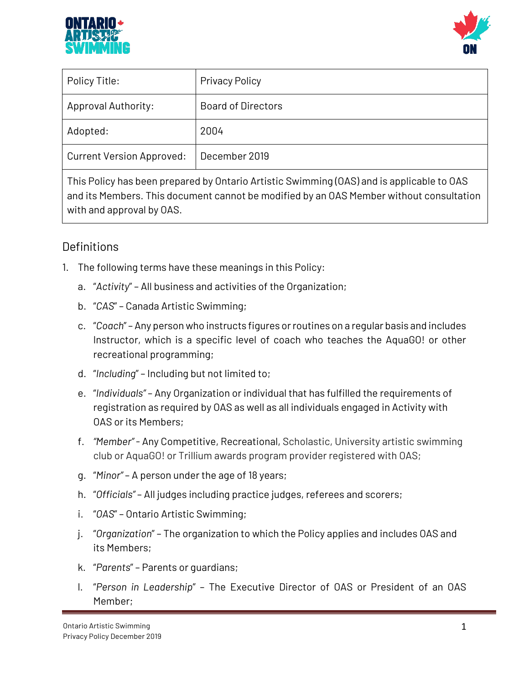



| Policy Title:                    | <b>Privacy Policy</b>     |
|----------------------------------|---------------------------|
| <b>Approval Authority:</b>       | <b>Board of Directors</b> |
| Adopted:                         | 2004                      |
| <b>Current Version Approved:</b> | December 2019             |

This Policy has been prepared by Ontario Artistic Swimming (OAS) and is applicable to OAS and its Members. This document cannot be modified by an OAS Member without consultation with and approval by OAS.

# **Definitions**

- 1. The following terms have these meanings in this Policy:
	- a. "*Activity*" All business and activities of the Organization;
	- b. "*CAS*" Canada Artistic Swimming;
	- c. "*Coach*" Any person who instructs figures or routines on a regular basis and includes Instructor, which is a specific level of coach who teaches the AquaGO! or other recreational programming;
	- d. "*Including*" Including but not limited to;
	- e. "*Individuals"* Any Organization or individual that has fulfilled the requirements of registration as required by OAS as well as all individuals engaged in Activity with OAS or its Members;
	- f. *"Member"*  Any Competitive, Recreational, Scholastic, University artistic swimming club or AquaGO! or Trillium awards program provider registered with OAS;
	- g. "*Minor"*  A person under the age of 18 years;
	- h. "*Officials"*  All judges including practice judges, referees and scorers;
	- i. "*OAS*" Ontario Artistic Swimming;
	- j. "*Organization*" The organization to which the Policy applies and includes OAS and its Members;
	- k. "*Parents*" Parents or guardians;
	- l. "*Person in Leadership*" The Executive Director of OAS or President of an OAS Member;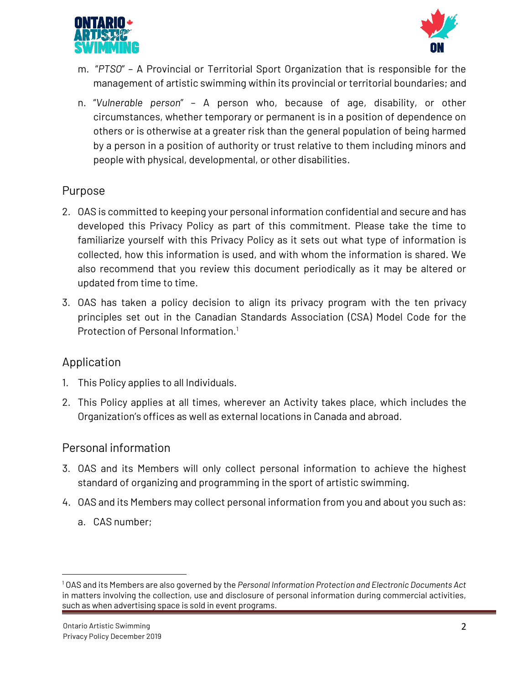



- m. "*PTSO*" A Provincial or Territorial Sport Organization that is responsible for the management of artistic swimming within its provincial or territorial boundaries; and
- n. "*Vulnerable person*" A person who, because of age, disability, or other circumstances, whether temporary or permanent is in a position of dependence on others or is otherwise at a greater risk than the general population of being harmed by a person in a position of authority or trust relative to them including minors and people with physical, developmental, or other disabilities.

## **Purpose**

- 2. OAS is committed to keeping your personal information confidential and secure and has developed this Privacy Policy as part of this commitment. Please take the time to familiarize yourself with this Privacy Policy as it sets out what type of information is collected, how this information is used, and with whom the information is shared. We also recommend that you review this document periodically as it may be altered or updated from time to time.
- 3. OAS has taken a policy decision to align its privacy program with the ten privacy principles set out in the Canadian Standards Association (CSA) Model Code for the Protection of Personal Information.<sup>1</sup>

## **Application**

- 1. This Policy applies to all Individuals.
- 2. This Policy applies at all times, wherever an Activity takes place, which includes the Organization's offices as well as external locations in Canada and abroad.

## **Personal information**

- 3. OAS and its Members will only collect personal information to achieve the highest standard of organizing and programming in the sport of artistic swimming.
- 4. OAS and its Members may collect personal information from you and about you such as:
	- a. CAS number;

 $\overline{a}$ 

<sup>1</sup> OAS and its Members are also governed by the *Personal Information Protection and Electronic Documents Act*  in matters involving the collection, use and disclosure of personal information during commercial activities, such as when advertising space is sold in event programs.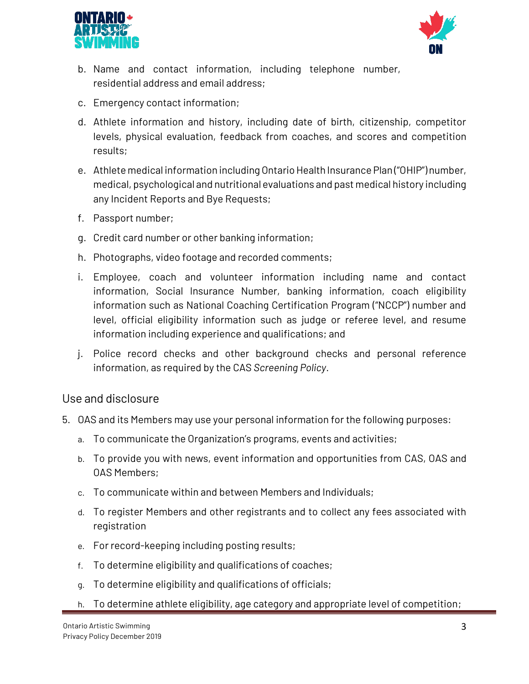



- b. Name and contact information, including telephone number, residential address and email address;
- c. Emergency contact information;
- d. Athlete information and history, including date of birth, citizenship, competitor levels, physical evaluation, feedback from coaches, and scores and competition results;
- e. Athlete medical information including Ontario Health Insurance Plan ("OHIP") number, medical, psychological and nutritional evaluations and past medical history including any Incident Reports and Bye Requests;
- f. Passport number;
- g. Credit card number or other banking information;
- h. Photographs, video footage and recorded comments;
- i. Employee, coach and volunteer information including name and contact information, Social Insurance Number, banking information, coach eligibility information such as National Coaching Certification Program ("NCCP") number and level, official eligibility information such as judge or referee level, and resume information including experience and qualifications; and
- j. Police record checks and other background checks and personal reference information, as required by the CAS *Screening Policy*.

#### **Use and disclosure**

- 5. OAS and its Members may use your personal information for the following purposes:
	- a. To communicate the Organization's programs, events and activities;
	- b. To provide you with news, event information and opportunities from CAS, OAS and OAS Members;
	- c. To communicate within and between Members and Individuals;
	- d. To register Members and other registrants and to collect any fees associated with registration
	- e. For record-keeping including posting results;
	- f. To determine eligibility and qualifications of coaches;
	- g. To determine eligibility and qualifications of officials;
	- h. To determine athlete eligibility, age category and appropriate level of competition;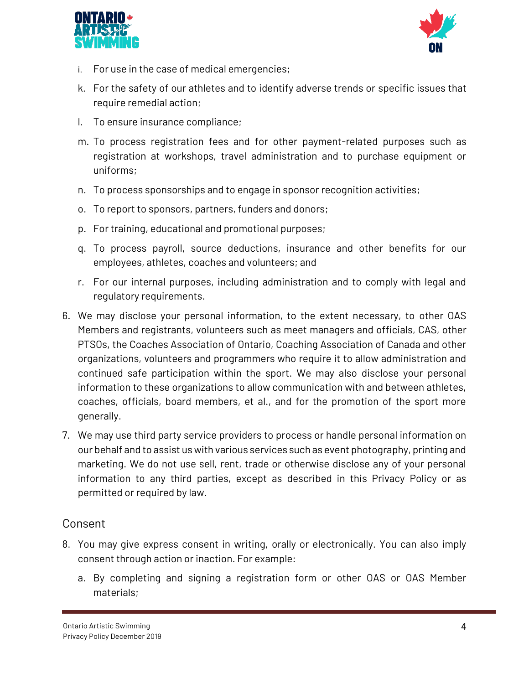



- i. For use in the case of medical emergencies;
- k. For the safety of our athletes and to identify adverse trends or specific issues that require remedial action;
- l. To ensure insurance compliance;
- m. To process registration fees and for other payment-related purposes such as registration at workshops, travel administration and to purchase equipment or uniforms;
- n. To process sponsorships and to engage in sponsor recognition activities;
- o. To report to sponsors, partners, funders and donors;
- p. For training, educational and promotional purposes;
- q. To process payroll, source deductions, insurance and other benefits for our employees, athletes, coaches and volunteers; and
- r. For our internal purposes, including administration and to comply with legal and regulatory requirements.
- 6. We may disclose your personal information, to the extent necessary, to other OAS Members and registrants, volunteers such as meet managers and officials, CAS, other PTSOs, the Coaches Association of Ontario, Coaching Association of Canada and other organizations, volunteers and programmers who require it to allow administration and continued safe participation within the sport. We may also disclose your personal information to these organizations to allow communication with and between athletes, coaches, officials, board members, et al., and for the promotion of the sport more generally.
- 7. We may use third party service providers to process or handle personal information on our behalf and to assist us with various services such as event photography, printing and marketing. We do not use sell, rent, trade or otherwise disclose any of your personal information to any third parties, except as described in this Privacy Policy or as permitted or required by law.

## **Consent**

- 8. You may give express consent in writing, orally or electronically. You can also imply consent through action or inaction. For example:
	- a. By completing and signing a registration form or other OAS or OAS Member materials;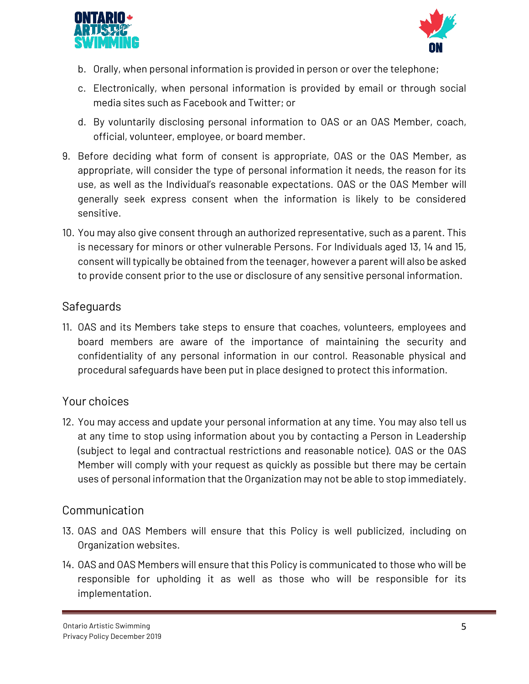



- b. Orally, when personal information is provided in person or over the telephone;
- c. Electronically, when personal information is provided by email or through social media sites such as Facebook and Twitter; or
- d. By voluntarily disclosing personal information to OAS or an OAS Member, coach, official, volunteer, employee, or board member.
- 9. Before deciding what form of consent is appropriate, OAS or the OAS Member, as appropriate, will consider the type of personal information it needs, the reason for its use, as well as the Individual's reasonable expectations. OAS or the OAS Member will generally seek express consent when the information is likely to be considered sensitive.
- 10. You may also give consent through an authorized representative, such as a parent. This is necessary for minors or other vulnerable Persons. For Individuals aged 13, 14 and 15, consent will typically be obtained from the teenager, however a parent will also be asked to provide consent prior to the use or disclosure of any sensitive personal information.

## **Safeguards**

11. OAS and its Members take steps to ensure that coaches, volunteers, employees and board members are aware of the importance of maintaining the security and confidentiality of any personal information in our control. Reasonable physical and procedural safeguards have been put in place designed to protect this information.

## **Your choices**

12. You may access and update your personal information at any time. You may also tell us at any time to stop using information about you by contacting a Person in Leadership (subject to legal and contractual restrictions and reasonable notice). OAS or the OAS Member will comply with your request as quickly as possible but there may be certain uses of personal information that the Organization may not be able to stop immediately.

## **Communication**

- 13. OAS and OAS Members will ensure that this Policy is well publicized, including on Organization websites.
- 14. OAS and OAS Members will ensure that this Policy is communicated to those who will be responsible for upholding it as well as those who will be responsible for its implementation.